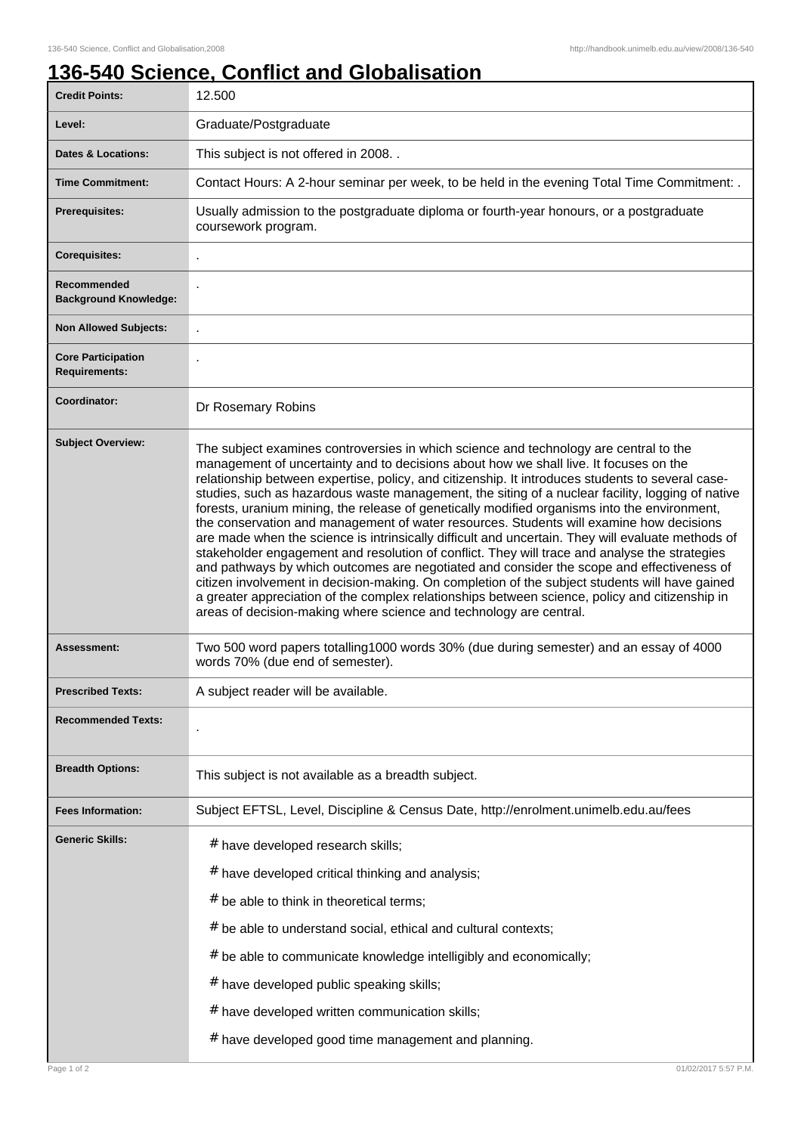## **136-540 Science, Conflict and Globalisation**

| <b>Credit Points:</b>                             | 12.500                                                                                                                                                                                                                                                                                                                                                                                                                                                                                                                                                                                                                                                                                                                                                                                                                                                                                                                                                                                                                                                                                                                                                         |
|---------------------------------------------------|----------------------------------------------------------------------------------------------------------------------------------------------------------------------------------------------------------------------------------------------------------------------------------------------------------------------------------------------------------------------------------------------------------------------------------------------------------------------------------------------------------------------------------------------------------------------------------------------------------------------------------------------------------------------------------------------------------------------------------------------------------------------------------------------------------------------------------------------------------------------------------------------------------------------------------------------------------------------------------------------------------------------------------------------------------------------------------------------------------------------------------------------------------------|
| Level:                                            | Graduate/Postgraduate                                                                                                                                                                                                                                                                                                                                                                                                                                                                                                                                                                                                                                                                                                                                                                                                                                                                                                                                                                                                                                                                                                                                          |
| <b>Dates &amp; Locations:</b>                     | This subject is not offered in 2008. .                                                                                                                                                                                                                                                                                                                                                                                                                                                                                                                                                                                                                                                                                                                                                                                                                                                                                                                                                                                                                                                                                                                         |
| <b>Time Commitment:</b>                           | Contact Hours: A 2-hour seminar per week, to be held in the evening Total Time Commitment: .                                                                                                                                                                                                                                                                                                                                                                                                                                                                                                                                                                                                                                                                                                                                                                                                                                                                                                                                                                                                                                                                   |
| <b>Prerequisites:</b>                             | Usually admission to the postgraduate diploma or fourth-year honours, or a postgraduate<br>coursework program.                                                                                                                                                                                                                                                                                                                                                                                                                                                                                                                                                                                                                                                                                                                                                                                                                                                                                                                                                                                                                                                 |
| <b>Corequisites:</b>                              |                                                                                                                                                                                                                                                                                                                                                                                                                                                                                                                                                                                                                                                                                                                                                                                                                                                                                                                                                                                                                                                                                                                                                                |
| Recommended<br><b>Background Knowledge:</b>       |                                                                                                                                                                                                                                                                                                                                                                                                                                                                                                                                                                                                                                                                                                                                                                                                                                                                                                                                                                                                                                                                                                                                                                |
| <b>Non Allowed Subjects:</b>                      |                                                                                                                                                                                                                                                                                                                                                                                                                                                                                                                                                                                                                                                                                                                                                                                                                                                                                                                                                                                                                                                                                                                                                                |
| <b>Core Participation</b><br><b>Requirements:</b> |                                                                                                                                                                                                                                                                                                                                                                                                                                                                                                                                                                                                                                                                                                                                                                                                                                                                                                                                                                                                                                                                                                                                                                |
| Coordinator:                                      | Dr Rosemary Robins                                                                                                                                                                                                                                                                                                                                                                                                                                                                                                                                                                                                                                                                                                                                                                                                                                                                                                                                                                                                                                                                                                                                             |
| <b>Subject Overview:</b>                          | The subject examines controversies in which science and technology are central to the<br>management of uncertainty and to decisions about how we shall live. It focuses on the<br>relationship between expertise, policy, and citizenship. It introduces students to several case-<br>studies, such as hazardous waste management, the siting of a nuclear facility, logging of native<br>forests, uranium mining, the release of genetically modified organisms into the environment,<br>the conservation and management of water resources. Students will examine how decisions<br>are made when the science is intrinsically difficult and uncertain. They will evaluate methods of<br>stakeholder engagement and resolution of conflict. They will trace and analyse the strategies<br>and pathways by which outcomes are negotiated and consider the scope and effectiveness of<br>citizen involvement in decision-making. On completion of the subject students will have gained<br>a greater appreciation of the complex relationships between science, policy and citizenship in<br>areas of decision-making where science and technology are central. |
| <b>Assessment:</b>                                | Two 500 word papers totalling1000 words 30% (due during semester) and an essay of 4000<br>words 70% (due end of semester).                                                                                                                                                                                                                                                                                                                                                                                                                                                                                                                                                                                                                                                                                                                                                                                                                                                                                                                                                                                                                                     |
| <b>Prescribed Texts:</b>                          | A subject reader will be available.                                                                                                                                                                                                                                                                                                                                                                                                                                                                                                                                                                                                                                                                                                                                                                                                                                                                                                                                                                                                                                                                                                                            |
| <b>Recommended Texts:</b>                         |                                                                                                                                                                                                                                                                                                                                                                                                                                                                                                                                                                                                                                                                                                                                                                                                                                                                                                                                                                                                                                                                                                                                                                |
| <b>Breadth Options:</b>                           | This subject is not available as a breadth subject.                                                                                                                                                                                                                                                                                                                                                                                                                                                                                                                                                                                                                                                                                                                                                                                                                                                                                                                                                                                                                                                                                                            |
| <b>Fees Information:</b>                          | Subject EFTSL, Level, Discipline & Census Date, http://enrolment.unimelb.edu.au/fees                                                                                                                                                                                                                                                                                                                                                                                                                                                                                                                                                                                                                                                                                                                                                                                                                                                                                                                                                                                                                                                                           |
| <b>Generic Skills:</b>                            | # have developed research skills;<br># have developed critical thinking and analysis;<br># be able to think in theoretical terms;                                                                                                                                                                                                                                                                                                                                                                                                                                                                                                                                                                                                                                                                                                                                                                                                                                                                                                                                                                                                                              |
|                                                   | # be able to understand social, ethical and cultural contexts;                                                                                                                                                                                                                                                                                                                                                                                                                                                                                                                                                                                                                                                                                                                                                                                                                                                                                                                                                                                                                                                                                                 |
|                                                   | # be able to communicate knowledge intelligibly and economically;                                                                                                                                                                                                                                                                                                                                                                                                                                                                                                                                                                                                                                                                                                                                                                                                                                                                                                                                                                                                                                                                                              |
|                                                   | # have developed public speaking skills;                                                                                                                                                                                                                                                                                                                                                                                                                                                                                                                                                                                                                                                                                                                                                                                                                                                                                                                                                                                                                                                                                                                       |
|                                                   | # have developed written communication skills;                                                                                                                                                                                                                                                                                                                                                                                                                                                                                                                                                                                                                                                                                                                                                                                                                                                                                                                                                                                                                                                                                                                 |
|                                                   | # have developed good time management and planning.                                                                                                                                                                                                                                                                                                                                                                                                                                                                                                                                                                                                                                                                                                                                                                                                                                                                                                                                                                                                                                                                                                            |
| Page 1 of 2                                       | 01/02/2017 5:57 P.M                                                                                                                                                                                                                                                                                                                                                                                                                                                                                                                                                                                                                                                                                                                                                                                                                                                                                                                                                                                                                                                                                                                                            |